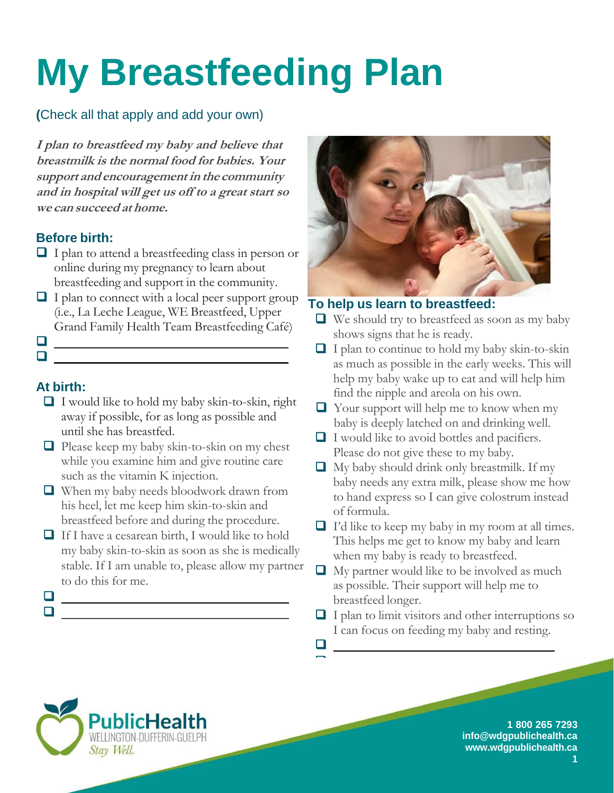# **My Breastfeeding Plan**

# **(**Check all that apply and add your own)

**I plan to breastfeed my baby and believe that breastmilk is the normal food for babies. Your support and encouragement in the community and in hospital will get us off to a great start so we can succeed at home.**

#### **Before birth:**

- $\Box$  I plan to attend a breastfeeding class in person or online during my pregnancy to learn about breastfeeding and support in the community.
- $\Box$  I plan to connect with a local peer support group (i.e., La Leche League, WE Breastfeed, Upper Grand Family Health Team Breastfeeding Café)
- $\Box$  $\Box$

# **At birth:**

- $\Box$  I would like to hold my baby skin-to-skin, right away if possible, for as long as possible and until she has breastfed.
- $\Box$  Please keep my baby skin-to-skin on my chest while you examine him and give routine care such as the vitamin K injection.
- When my baby needs bloodwork drawn from his heel, let me keep him skin-to-skin and breastfeed before and during the procedure.
- $\Box$  If I have a cesarean birth, I would like to hold my baby skin-to-skin as soon as she is medically stable. If I am unable to, please allow my partner to do this for me.
- $\Box$  $\Box$



### **To help us learn to breastfeed:**

- We should try to breastfeed as soon as my baby shows signs that he is ready.
- $\Box$  I plan to continue to hold my baby skin-to-skin as much as possible in the early weeks. This will help my baby wake up to eat and will help him find the nipple and areola on his own.
- $\Box$  Your support will help me to know when my baby is deeply latched on and drinking well.
- $\Box$  I would like to avoid bottles and pacifiers. Please do not give these to my baby.
- $\Box$  My baby should drink only breastmilk. If my baby needs any extra milk, please show me how to hand express so I can give colostrum instead of formula.
- $\Box$  I'd like to keep my baby in my room at all times. This helps me get to know my baby and learn when my baby is ready to breastfeed.
- $\Box$  My partner would like to be involved as much as possible. Their support will help me to breastfeed longer.
- $\Box$  I plan to limit visitors and other interruptions so I can focus on feeding my baby and resting.

 $\Box$ 

 $\Box$ 





**1**